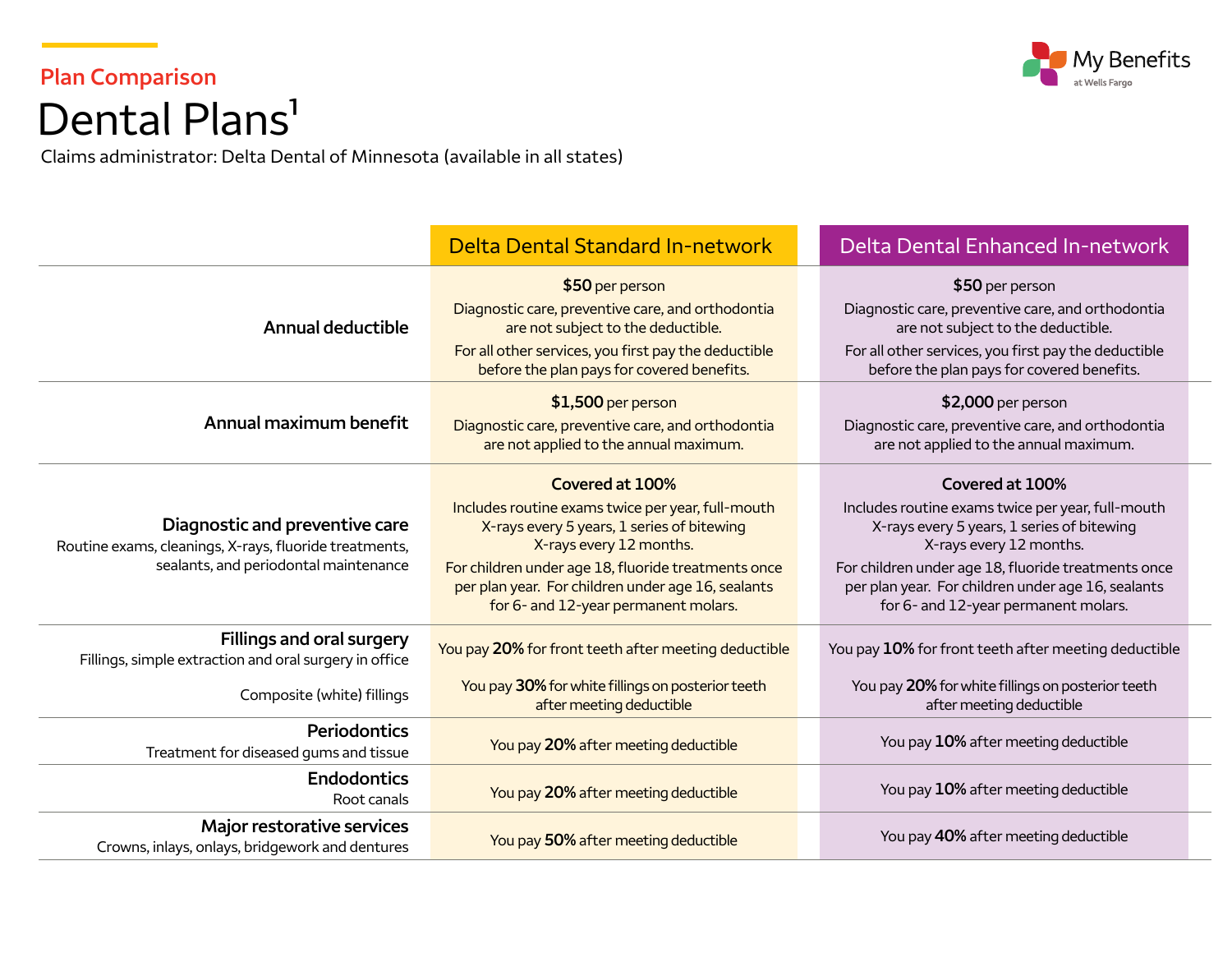

## **Plan Comparison**  Dental Plans<sup>1</sup>

Claims administrator: Delta Dental of Minnesota (available in all states)

|                                                                                                                                   | <b>Delta Dental Standard In-network</b>                                                                                                                                                                                                                                                            | Delta Dental Enhanced In-network                                                                                                                                                                                                                                                                   |
|-----------------------------------------------------------------------------------------------------------------------------------|----------------------------------------------------------------------------------------------------------------------------------------------------------------------------------------------------------------------------------------------------------------------------------------------------|----------------------------------------------------------------------------------------------------------------------------------------------------------------------------------------------------------------------------------------------------------------------------------------------------|
| <b>Annual deductible</b>                                                                                                          | \$50 per person<br>Diagnostic care, preventive care, and orthodontia<br>are not subject to the deductible.<br>For all other services, you first pay the deductible<br>before the plan pays for covered benefits.                                                                                   | \$50 per person<br>Diagnostic care, preventive care, and orthodontia<br>are not subject to the deductible.<br>For all other services, you first pay the deductible<br>before the plan pays for covered benefits.                                                                                   |
| Annual maximum benefit                                                                                                            | \$1,500 per person<br>Diagnostic care, preventive care, and orthodontia<br>are not applied to the annual maximum.                                                                                                                                                                                  | \$2,000 per person<br>Diagnostic care, preventive care, and orthodontia<br>are not applied to the annual maximum.                                                                                                                                                                                  |
| Diagnostic and preventive care<br>Routine exams, cleanings, X-rays, fluoride treatments,<br>sealants, and periodontal maintenance | Covered at 100%<br>Includes routine exams twice per year, full-mouth<br>X-rays every 5 years, 1 series of bitewing<br>X-rays every 12 months.<br>For children under age 18, fluoride treatments once<br>per plan year. For children under age 16, sealants<br>for 6- and 12-year permanent molars. | Covered at 100%<br>Includes routine exams twice per year, full-mouth<br>X-rays every 5 years, 1 series of bitewing<br>X-rays every 12 months.<br>For children under age 18, fluoride treatments once<br>per plan year. For children under age 16, sealants<br>for 6- and 12-year permanent molars. |
| Fillings and oral surgery<br>Fillings, simple extraction and oral surgery in office                                               | You pay 20% for front teeth after meeting deductible                                                                                                                                                                                                                                               | You pay 10% for front teeth after meeting deductible                                                                                                                                                                                                                                               |
| Composite (white) fillings                                                                                                        | You pay 30% for white fillings on posterior teeth<br>after meeting deductible                                                                                                                                                                                                                      | You pay 20% for white fillings on posterior teeth<br>after meeting deductible                                                                                                                                                                                                                      |
| Periodontics<br>Treatment for diseased gums and tissue                                                                            | You pay 20% after meeting deductible                                                                                                                                                                                                                                                               | You pay 10% after meeting deductible                                                                                                                                                                                                                                                               |
| <b>Endodontics</b><br>Root canals                                                                                                 | You pay 20% after meeting deductible                                                                                                                                                                                                                                                               | You pay 10% after meeting deductible                                                                                                                                                                                                                                                               |
| Major restorative services<br>Crowns, inlays, onlays, bridgework and dentures                                                     | You pay 50% after meeting deductible                                                                                                                                                                                                                                                               | You pay 40% after meeting deductible                                                                                                                                                                                                                                                               |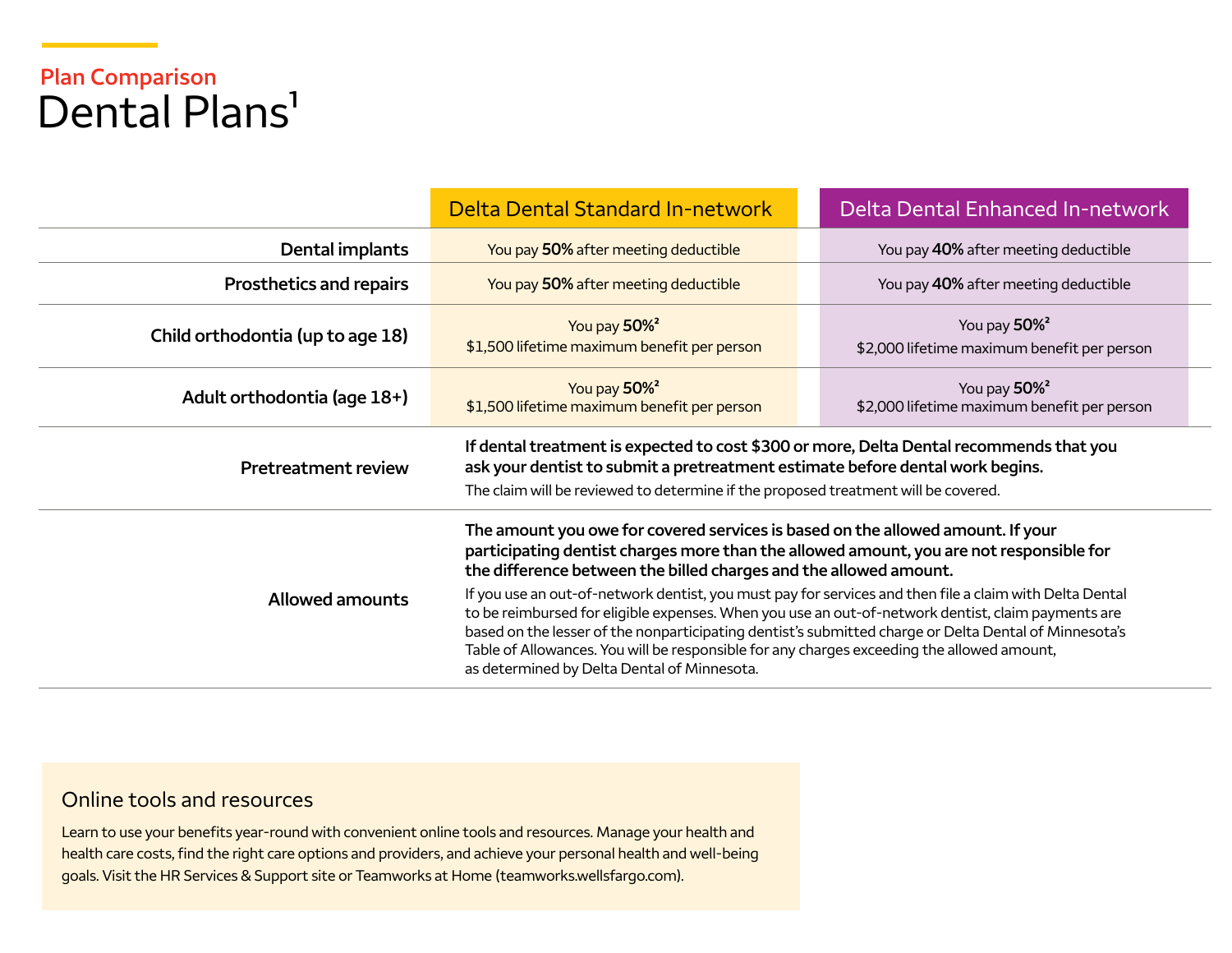## **Plan Comparison**  Dental Plans<sup>1</sup>

|                                                                                                                                                                                                                                                                                                                                                                                                                                                                                               | <b>Delta Dental Standard In-network</b>                                                                                                                                                                                                                        | Delta Dental Enhanced In-network                                        |  |
|-----------------------------------------------------------------------------------------------------------------------------------------------------------------------------------------------------------------------------------------------------------------------------------------------------------------------------------------------------------------------------------------------------------------------------------------------------------------------------------------------|----------------------------------------------------------------------------------------------------------------------------------------------------------------------------------------------------------------------------------------------------------------|-------------------------------------------------------------------------|--|
| Dental implants                                                                                                                                                                                                                                                                                                                                                                                                                                                                               | You pay 50% after meeting deductible                                                                                                                                                                                                                           | You pay 40% after meeting deductible                                    |  |
| <b>Prosthetics and repairs</b>                                                                                                                                                                                                                                                                                                                                                                                                                                                                | You pay 50% after meeting deductible                                                                                                                                                                                                                           | You pay 40% after meeting deductible                                    |  |
| Child orthodontia (up to age 18)                                                                                                                                                                                                                                                                                                                                                                                                                                                              | You pay 50% <sup>2</sup><br>\$1,500 lifetime maximum benefit per person                                                                                                                                                                                        | You pay 50% <sup>2</sup><br>\$2,000 lifetime maximum benefit per person |  |
| Adult orthodontia (age 18+)                                                                                                                                                                                                                                                                                                                                                                                                                                                                   | You pay 50% <sup>2</sup><br>\$1,500 lifetime maximum benefit per person                                                                                                                                                                                        | You pay 50% <sup>2</sup><br>\$2,000 lifetime maximum benefit per person |  |
| <b>Pretreatment review</b>                                                                                                                                                                                                                                                                                                                                                                                                                                                                    | If dental treatment is expected to cost \$300 or more, Delta Dental recommends that you<br>ask your dentist to submit a pretreatment estimate before dental work begins.<br>The claim will be reviewed to determine if the proposed treatment will be covered. |                                                                         |  |
|                                                                                                                                                                                                                                                                                                                                                                                                                                                                                               | The amount you owe for covered services is based on the allowed amount. If your<br>participating dentist charges more than the allowed amount, you are not responsible for<br>the difference between the billed charges and the allowed amount.                |                                                                         |  |
| If you use an out-of-network dentist, you must pay for services and then file a claim with Delta Dental<br><b>Allowed amounts</b><br>to be reimbursed for eligible expenses. When you use an out-of-network dentist, claim payments are<br>based on the lesser of the nonparticipating dentist's submitted charge or Delta Dental of Minnesota's<br>Table of Allowances. You will be responsible for any charges exceeding the allowed amount,<br>as determined by Delta Dental of Minnesota. |                                                                                                                                                                                                                                                                |                                                                         |  |

## Online tools and resources

Learn to use your benefits year-round with convenient online tools and resources. Manage your health and health care costs, find the right care options and providers, and achieve your personal health and well-being goals. Visit the HR Services & Support site or Teamworks at Home [\(teamworks.wellsfargo.com\)](http://teamworks.wellsfargo.com).